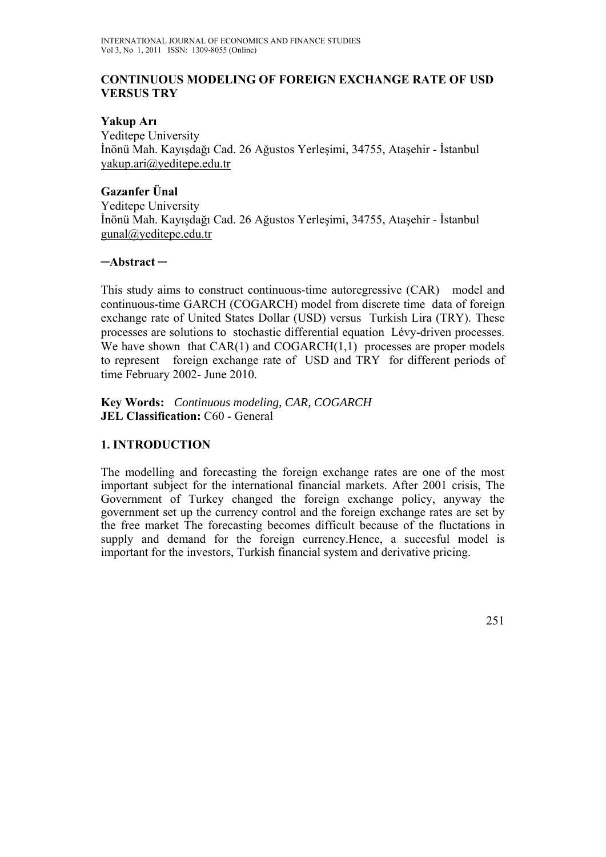### **CONTINUOUS MODELING OF FOREIGN EXCHANGE RATE OF USD VERSUS TRY**

### **Yakup Arı**

Yeditepe University İnönü Mah. Kayışdağı Cad. 26 Ağustos Yerleşimi, 34755, Ataşehir - İstanbul yakup.ari@yeditepe.edu.tr

## **Gazanfer Ünal**

Yeditepe University İnönü Mah. Kayışdağı Cad. 26 Ağustos Yerleşimi, 34755, Ataşehir - İstanbul gunal@yeditepe.edu.tr

### **─Abstract ─**

This study aims to construct continuous-time autoregressive (CAR) model and continuous-time GARCH (COGARCH) model from discrete time data of foreign exchange rate of United States Dollar (USD) versus Turkish Lira (TRY). These processes are solutions to stochastic differential equation Lévy-driven processes. We have shown that  $CAR(1)$  and  $COGARCH(1,1)$  processes are proper models to represent foreign exchange rate of USD and TRY for different periods of time February 2002- June 2010.

**Key Words:** *Continuous modeling, CAR, COGARCH*  **JEL Classification: C60 - General** 

## **1. INTRODUCTION**

The modelling and forecasting the foreign exchange rates are one of the most important subject for the international financial markets. After 2001 crisis, The Government of Turkey changed the foreign exchange policy, anyway the government set up the currency control and the foreign exchange rates are set by the free market The forecasting becomes difficult because of the fluctations in supply and demand for the foreign currency.Hence, a succesful model is important for the investors, Turkish financial system and derivative pricing.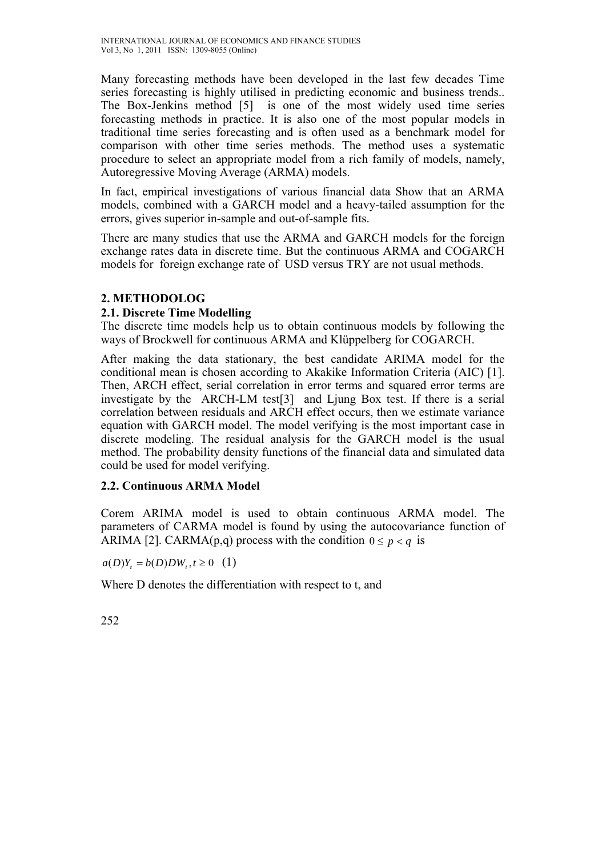Many forecasting methods have been developed in the last few decades Time series forecasting is highly utilised in predicting economic and business trends.. The Box-Jenkins method [5] is one of the most widely used time series forecasting methods in practice. It is also one of the most popular models in traditional time series forecasting and is often used as a benchmark model for comparison with other time series methods. The method uses a systematic procedure to select an appropriate model from a rich family of models, namely, Autoregressive Moving Average (ARMA) models.

In fact, empirical investigations of various financial data Show that an ARMA models, combined with a GARCH model and a heavy-tailed assumption for the errors, gives superior in-sample and out-of-sample fits.

There are many studies that use the ARMA and GARCH models for the foreign exchange rates data in discrete time. But the continuous ARMA and COGARCH models for foreign exchange rate of USD versus TRY are not usual methods.

## **2. METHODOLOG**

## **2.1. Discrete Time Modelling**

The discrete time models help us to obtain continuous models by following the ways of Brockwell for continuous ARMA and Klüppelberg for COGARCH.

After making the data stationary, the best candidate ARIMA model for the conditional mean is chosen according to Akakike Information Criteria (AIC) [1]. Then, ARCH effect, serial correlation in error terms and squared error terms are investigate by the ARCH-LM test[3] and Ljung Box test. If there is a serial correlation between residuals and ARCH effect occurs, then we estimate variance equation with GARCH model. The model verifying is the most important case in discrete modeling. The residual analysis for the GARCH model is the usual method. The probability density functions of the financial data and simulated data could be used for model verifying.

## **2.2. Continuous ARMA Model**

Corem ARIMA model is used to obtain continuous ARMA model. The parameters of CARMA model is found by using the autocovariance function of ARIMA [2]. CARMA(p,q) process with the condition  $0 \le p \le q$  is

 $a(D)Y_t = b(D)DW_t, t \ge 0$  (1)

Where D denotes the differentiation with respect to t, and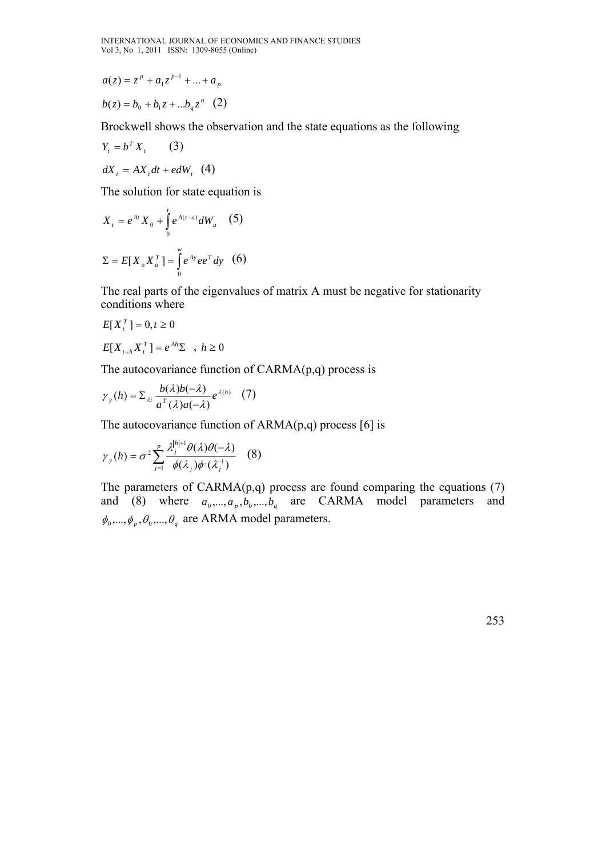$$
a(z) = zp + a1zp-1 + ... + ap
$$

$$
b(z) = b_0 + b_1 z + \dots + b_q z^q \quad (2)
$$

Brockwell shows the observation and the state equations as the following

$$
Y_t = b^T X_t \qquad (3)
$$
  

$$
dX_t = AX_t dt + edW_t \quad (4)
$$

The solution for state equation is

$$
X_{t} = e^{At} X_{0} + \int_{0}^{t} e^{A(t-u)} dW_{u}
$$
 (5)  

$$
\Sigma = E[X_{o} X_{o}^{T}] = \int_{0}^{w} e^{Ay} e^{T} dy
$$
 (6)

The real parts of the eigenvalues of matrix A must be negative for stationarity conditions where

$$
E[X_t^T] = 0, t \ge 0
$$

$$
E[X_{t+h}X_t^T] = e^{Ah}\Sigma \quad , \ h \ge 0
$$

The autocovariance function of  $CARMA(p,q)$  process is

$$
\gamma_{y}(h) = \sum_{\lambda i} \frac{b(\lambda)b(-\lambda)}{a^{T}(\lambda)a(-\lambda)} e^{\lambda(h)} \quad (7)
$$

The autocovariance function of  $ARMA(p,q)$  process [6] is

$$
\gamma_{y}(h) = \sigma^{2} \sum_{j=1}^{p} \frac{\lambda_{j}^{|h|+1} \theta(\lambda) \theta(-\lambda)}{\phi(\lambda_{j}) \phi'(\lambda_{j}^{-1})}
$$
 (8)

The parameters of  $CARMA(p,q)$  process are found comparing the equations  $(7)$ and (8) where  $a_0, \ldots, a_p, b_0, \ldots, b_q$  are CARMA model parameters and  $\phi_0, \ldots, \phi_p, \theta_0, \ldots, \theta_q$  are ARMA model parameters.

253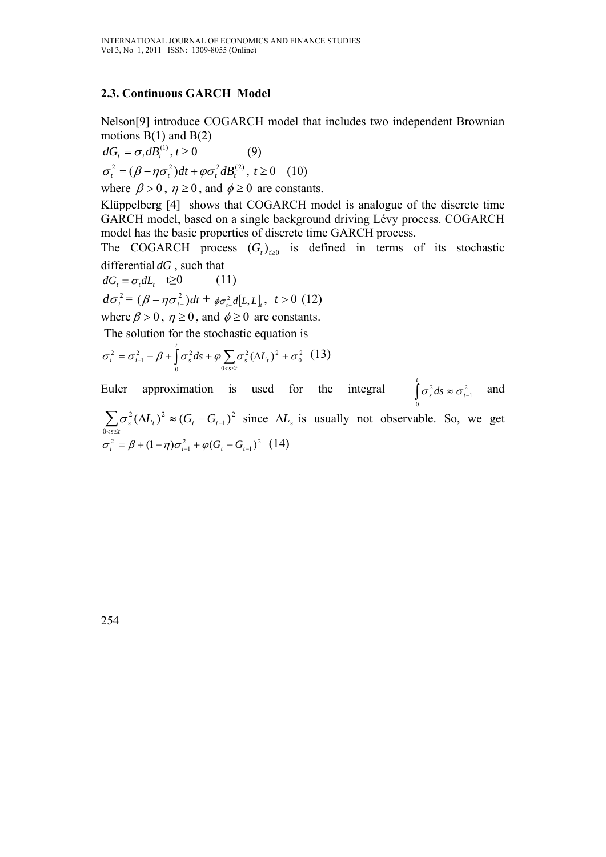## **2.3. Continuous GARCH Model**

Nelson[9] introduce COGARCH model that includes two independent Brownian motions  $B(1)$  and  $B(2)$ 

$$
dG_t = \sigma_t dB_t^{(1)}, t \ge 0
$$
 (9)  

$$
\sigma_t^2 = (\beta - \eta \sigma_t^2) dt + \varphi \sigma_t^2 dB_t^{(2)}, t \ge 0
$$
 (10)

where  $\beta > 0$ ,  $\eta \ge 0$ , and  $\phi \ge 0$  are constants.

Klüppelberg [4] shows that COGARCH model is analogue of the discrete time GARCH model, based on a single background driving Lévy process. COGARCH model has the basic properties of discrete time GARCH process.

The COGARCH process  $(G_t)_{t\geq0}$  is defined in terms of its stochastic differential *dG* , such that

$$
dG_t = \sigma_t dL_t \quad \text{(11)}
$$
\n
$$
d\sigma_t^2 = (\beta - \eta \sigma_{t-1}^2) dt + \phi \sigma_{t-1}^2 d[L, L]_t, \quad t > 0 \quad \text{(12)}
$$
\n
$$
\text{where } \beta > 0, \quad \eta \ge 0, \text{ and } \phi \ge 0 \text{ are constants.}
$$
\nThe solution for the stochastic equation is

The solution for the stochastic equation is

$$
\sigma_i^2 = \sigma_{i-1}^2 - \beta + \int_0^t \sigma_s^2 ds + \varphi \sum_{0 < s \le t} \sigma_s^2 (\Delta L_t)^2 + \sigma_0^2
$$
 (13)

Euler approximation is used for the integral  $\int_{c}^{t} \sigma_s^2 ds \approx \sigma_{t-1}^2$  and  $\mathbf 0$ 2 1 2 0  $\int_{s}^{2} (\Delta L_{t})^{2} \approx (G_{t} - G_{t-1})$  $\sum_{0 \le s \le t} \sigma_s^2 (\Delta L_t)^2 \approx (G_t - G_t)$  $\sigma_s^2 (\Delta L_t)^2 \approx (G_t - G_{t-1})^2$  since  $\Delta L_s$  is usually not observable. So, we get  $\sigma_i^2 = \beta + (1 - \eta)\sigma_{i-1}^2 + \varphi(G_i - G_{i-1})^2$  (14)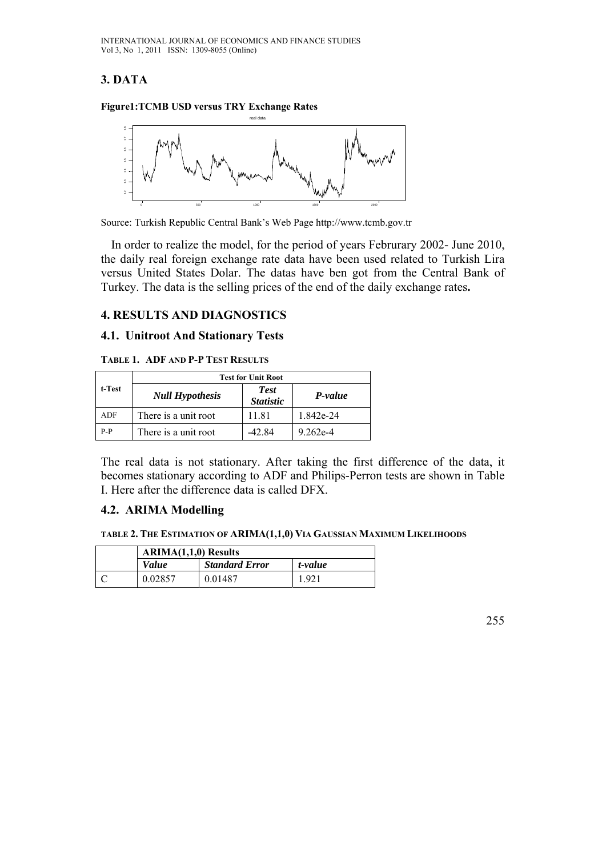# **3. DATA**

**Figure1:TCMB USD versus TRY Exchange Rates** 



Source: Turkish Republic Central Bank's Web Page http://www.tcmb.gov.tr

 In order to realize the model, for the period of years Februrary 2002- June 2010, the daily real foreign exchange rate data have been used related to Turkish Lira versus United States Dolar. The datas have ben got from the Central Bank of Turkey. The data is the selling prices of the end of the daily exchange rates**.** 

## **4. RESULTS AND DIAGNOSTICS**

#### **4.1. Unitroot And Stationary Tests**

#### **TABLE 1. ADF AND P-P TEST RESULTS**

|         | <b>Test for Unit Root</b> |                                 |           |  |  |
|---------|---------------------------|---------------------------------|-----------|--|--|
| t-Test  | <b>Null Hypothesis</b>    | <b>Test</b><br><b>Statistic</b> | P-value   |  |  |
| ADF     | There is a unit root      | 1181                            | 1.842e-24 |  |  |
| $P - P$ | There is a unit root      | -42.84                          | 9 262e-4  |  |  |

The real data is not stationary. After taking the first difference of the data, it becomes stationary according to ADF and Philips-Perron tests are shown in Table I. Here after the difference data is called DFX.

#### **4.2. ARIMA Modelling**

**TABLE 2. THE ESTIMATION OF ARIMA(1,1,0) VIA GAUSSIAN MAXIMUM LIKELIHOODS**

| <b>ARIMA(1.1.0)</b> Results |                       |         |
|-----------------------------|-----------------------|---------|
| <i>Value</i>                | <b>Standard Error</b> | t-value |
| 0.02857                     | 0.01487               | 1.921   |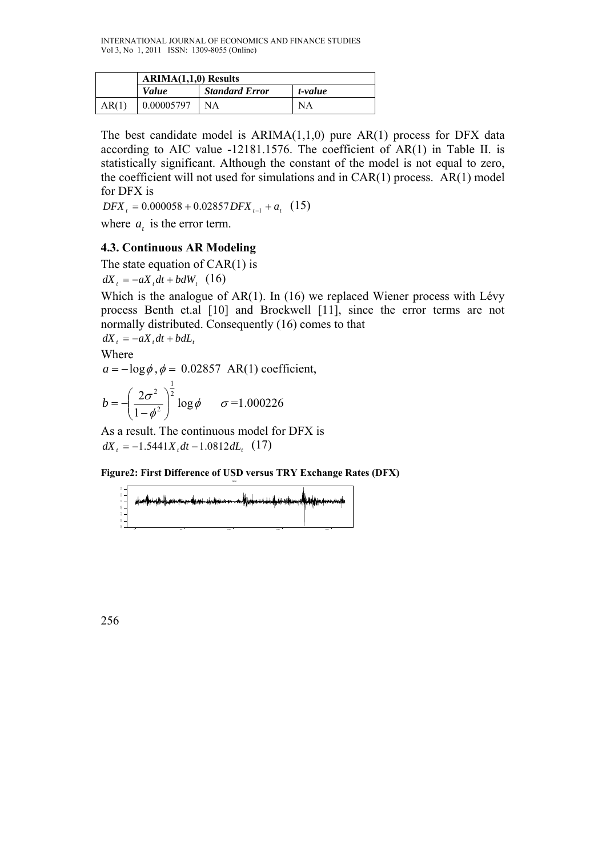|       | $ARIMA(1,1,0)$ Results |                       |         |
|-------|------------------------|-----------------------|---------|
|       | <i>Value</i>           | <b>Standard Error</b> | t-value |
| AR(1) | 0.00005797             | NΑ                    | NA      |

The best candidate model is  $ARIMA(1,1,0)$  pure  $AR(1)$  process for DFX data according to AIC value -12181.1576. The coefficient of AR(1) in Table II. is statistically significant. Although the constant of the model is not equal to zero, the coefficient will not used for simulations and in CAR(1) process. AR(1) model for DFX is

 $DFX_t = 0.000058 + 0.02857$  *DFX*  $t_1 + a_t$  (15)

where  $a_t$  is the error term.

### **4.3. Continuous AR Modeling**

The state equation of  $CAR(1)$  is  $dX_t = -aX_t dt + bdW_t$  (16)

Which is the analogue of AR(1). In (16) we replaced Wiener process with Lévy process Benth et.al [10] and Brockwell [11], since the error terms are not normally distributed. Consequently (16) comes to that

 $dX_t = -aX_t dt + b dL_t$ 

Where  $a = -\log \phi$ ,  $\phi = 0.02857$  AR(1) coefficient,

$$
b = -\left(\frac{2\sigma^2}{1-\phi^2}\right)^{\frac{1}{2}}\log \phi \qquad \sigma = 1.000226
$$

As a result. The continuous model for DFX is  $dX_t = -1.5441X_t dt - 1.0812 dL_t$  (17)

**Figure2: First Difference of USD versus TRY Exchange Rates (DFX)** 

| $\begin{array}{c} 1 \\ 1 \\ 1 \end{array}$ | <sub>,</sub> de <del>rbeischen nachen dass der Beien auf <mark>f</mark>elenstellen und der Altens</del> en-A |  |  |
|--------------------------------------------|--------------------------------------------------------------------------------------------------------------|--|--|
|                                            |                                                                                                              |  |  |
|                                            |                                                                                                              |  |  |
|                                            |                                                                                                              |  |  |
|                                            |                                                                                                              |  |  |

0 500 1000 1500 2000

DF<sub>2</sub>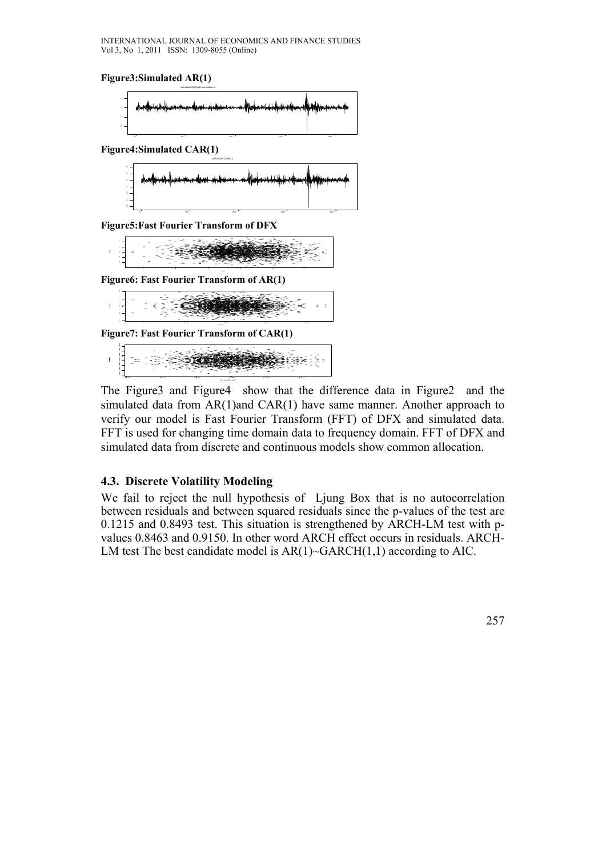**Figure3:Simulated AR(1)** 



**Figure4:Simulated CAR(1)** 



**Figure5:Fast Fourier Transform of DFX** 



**Figure6: Fast Fourier Transform of AR(1)** 



| ٠.<br>-<br>- -<br>- | -<br><b>STATE</b><br><b>Service</b><br>$\sim$ | $\sim$<br>-<br>-<br>$\sim$ | <b>10.25</b><br>- | $\sim$<br>$\sim$                    | -<br>$\sim$ | <b>ALCOHOL:</b> |  |
|---------------------|-----------------------------------------------|----------------------------|-------------------|-------------------------------------|-------------|-----------------|--|
|                     | 11.15                                         | $-2.00$                    | $-0.01 - 0.05$    | 101.000<br><b>Changed Column In</b> | 10.00       | 2012/03/12      |  |

The Figure3 and Figure4 show that the difference data in Figure2 and the simulated data from AR(1)and CAR(1) have same manner. Another approach to verify our model is Fast Fourier Transform (FFT) of DFX and simulated data. FFT is used for changing time domain data to frequency domain. FFT of DFX and simulated data from discrete and continuous models show common allocation.

#### **4.3. Discrete Volatility Modeling**

We fail to reject the null hypothesis of Ljung Box that is no autocorrelation between residuals and between squared residuals since the p-values of the test are 0.1215 and 0.8493 test. This situation is strengthened by ARCH-LM test with pvalues 0.8463 and 0.9150. In other word ARCH effect occurs in residuals. ARCH-LM test The best candidate model is  $AR(1)$ ~GARCH $(1,1)$  according to AIC.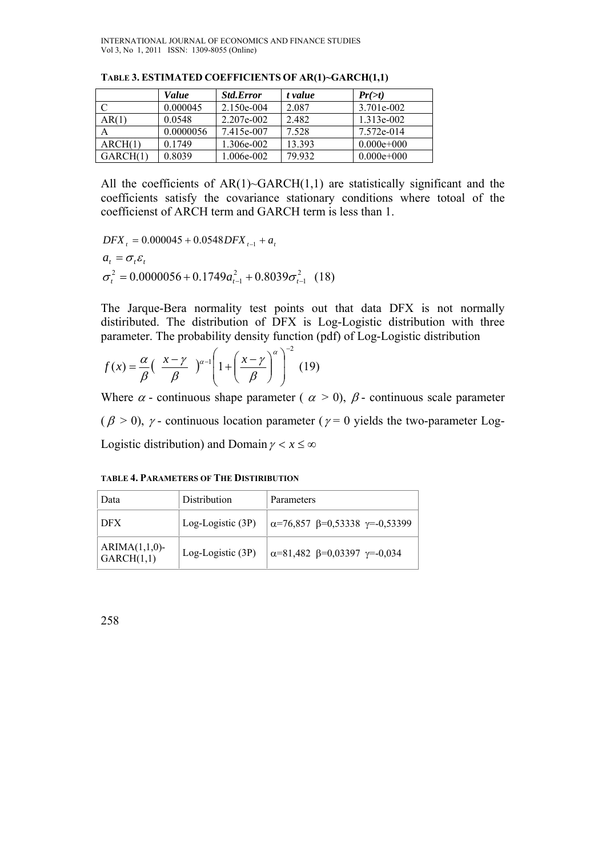|          | Value     | <b>Std.Error</b> | t value | $Pr(\geq t)$  |
|----------|-----------|------------------|---------|---------------|
|          | 0.000045  | 2.150e-004       | 2.087   | 3.701e-002    |
| AR(1)    | 0.0548    | 2.207e-002       | 2.482   | 1.313e-002    |
| А        | 0.0000056 | 7.415e-007       | 7.528   | 7.572e-014    |
| ARCH(1)  | 0.1749    | 1.306e-002       | 13.393  | $0.000e+0.00$ |
| GARCH(1) | 0.8039    | .006e-002        | 79.932  | $0.000e+0.00$ |

**TABLE 3. ESTIMATED COEFFICIENTS OF AR(1)~GARCH(1,1)** 

All the coefficients of  $AR(1)$ ~GARCH $(1,1)$  are statistically significant and the coefficients satisfy the covariance stationary conditions where totoal of the coefficienst of ARCH term and GARCH term is less than 1.

 $DFX_t = 0.000045 + 0.0548$  *DFX*  $t_{t-1} + a_t$  $a_t = \sigma_t \varepsilon_t$ 2 1 2  $\sigma_t^2 = 0.0000056 + 0.1749a_{t-1}^2 + 0.8039\sigma_{t-1}^2$  (18)

The Jarque-Bera normality test points out that data DFX is not normally distiributed. The distribution of DFX is Log-Logistic distribution with three parameter. The probability density function (pdf) of Log-Logistic distribution

$$
f(x) = \frac{\alpha}{\beta} \left( \frac{x - \gamma}{\beta} \right)^{\alpha - 1} \left( 1 + \left( \frac{x - \gamma}{\beta} \right)^{\alpha} \right)^{-2} (19)
$$

Where  $\alpha$  - continuous shape parameter (  $\alpha > 0$ ),  $\beta$  - continuous scale parameter ( $\beta$  > 0),  $\gamma$  - continuous location parameter ( $\gamma$  = 0 yields the two-parameter Log-Logistic distribution) and Domain  $\gamma < x \leq \infty$ 

| Data                           | Distribution       | Parameters                                            |
|--------------------------------|--------------------|-------------------------------------------------------|
| DFX                            | Log-Logistic (3P)  | $\alpha$ =76,857 $\beta$ =0,53338 $\gamma$ =-0,53399  |
| $ARIMA(1,1,0)$ -<br>GARCH(1,1) | $Log-Logistic(3P)$ | $\alpha = 81,482$ $\beta = 0,03397$ $\gamma = -0,034$ |

**TABLE 4. PARAMETERS OF THE DISTIRIBUTION**

258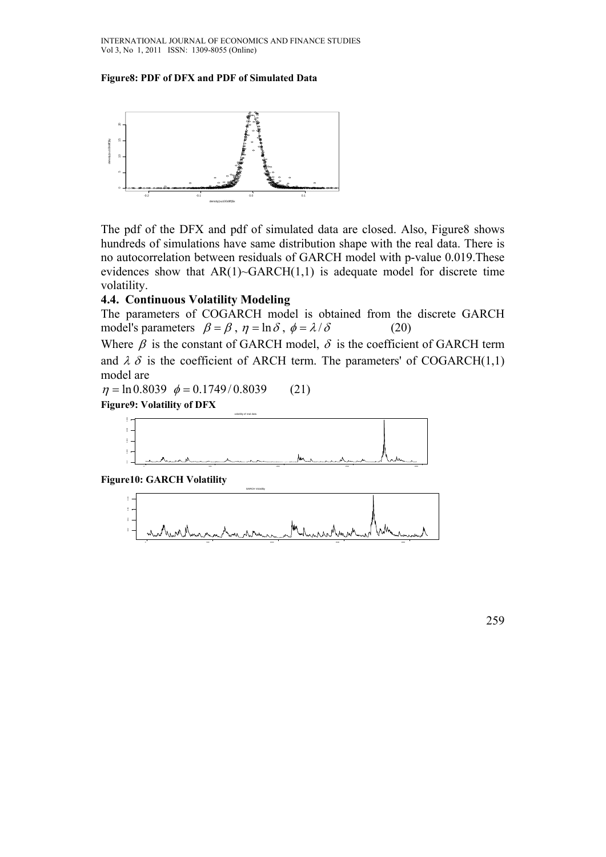#### **Figure8: PDF of DFX and PDF of Simulated Data**



The pdf of the DFX and pdf of simulated data are closed. Also, Figure8 shows hundreds of simulations have same distribution shape with the real data. There is no autocorrelation between residuals of GARCH model with p-value 0.019.These evidences show that  $AR(1)$ ~GARCH $(1,1)$  is adequate model for discrete time volatility.

#### **4.4. Continuous Volatility Modeling**

The parameters of COGARCH model is obtained from the discrete GARCH model's parameters  $\beta = \beta$ ,  $\eta = \ln \delta$ ,  $\phi = \lambda/\delta$  (20)

Where  $\beta$  is the constant of GARCH model,  $\delta$  is the coefficient of GARCH term and  $\lambda \delta$  is the coefficient of ARCH term. The parameters' of COGARCH(1,1) model are

 $\eta = \ln 0.8039 \phi = 0.1749/0.8039$  (21)

**Figure9: Volatility of DFX** 



**Figure10: GARCH Volatility** 



259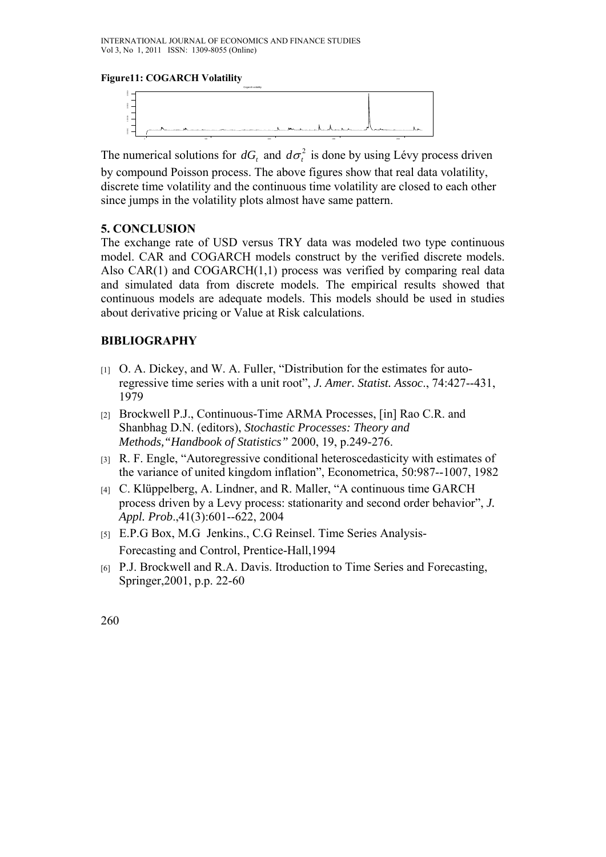#### **Figure11: COGARCH Volatility**



The numerical solutions for *dG*, and  $d\sigma^2$  is done by using Lévy process driven

by compound Poisson process. The above figures show that real data volatility, discrete time volatility and the continuous time volatility are closed to each other since jumps in the volatility plots almost have same pattern.

### **5. CONCLUSION**

The exchange rate of USD versus TRY data was modeled two type continuous model. CAR and COGARCH models construct by the verified discrete models. Also  $CAR(1)$  and  $COGARCH(1,1)$  process was verified by comparing real data and simulated data from discrete models. The empirical results showed that continuous models are adequate models. This models should be used in studies about derivative pricing or Value at Risk calculations.

#### **BIBLIOGRAPHY**

- [1] O. A. Dickey, and W. A. Fuller, "Distribution for the estimates for autoregressive time series with a unit root", *J. Amer. Statist. Assoc*., 74:427--431, 1979
- [2] Brockwell P.J., Continuous-Time ARMA Processes, [in] Rao C.R. and Shanbhag D.N. (editors), *Stochastic Processes: Theory and Methods,"Handbook of Statistics"* 2000, 19, p.249-276.
- [3] R. F. Engle, "Autoregressive conditional heteroscedasticity with estimates of the variance of united kingdom inflation", Econometrica, 50:987--1007, 1982
- [4] C. Klüppelberg, A. Lindner, and R. Maller, "A continuous time GARCH process driven by a Levy process: stationarity and second order behavior", *J. Appl. Prob*.,41(3):601--622, 2004
- [5] E.P.G Box, M.G Jenkins., C.G Reinsel. Time Series Analysis-Forecasting and Control, Prentice-Hall,1994
- [6] P.J. Brockwell and R.A. Davis. Itroduction to Time Series and Forecasting, Springer,2001, p.p. 22-60